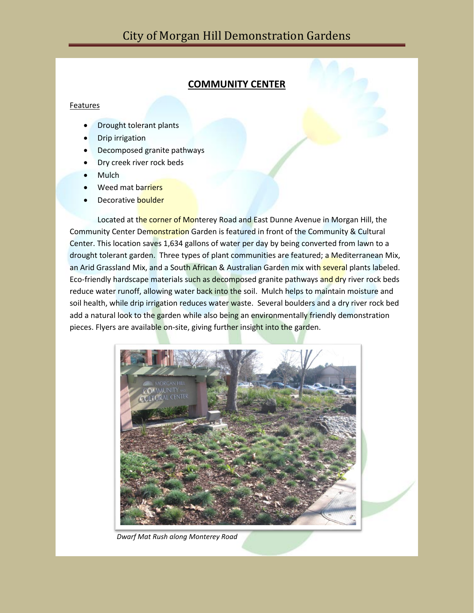## **COMMUNITY CENTER**

## Features

- Drought tolerant plants
- Drip irrigation
- Decomposed granite pathways
- Dry creek river rock beds
- **Mulch**
- Weed mat barriers
- Decorative boulder

Located at the corner of Monterey Road and East Dunne Avenue in Morgan Hill, the Community Center Demonstration Garden is featured in front of the Community & Cultural Center. This location saves 1,634 gallons of water per day by being converted from lawn to a drought tolerant garden. Three types of plant communities are featured; a Mediterranean Mix, an Arid Grassland Mix, and a South African & Australian Garden mix with several plants labeled. Eco-friendly hardscape materials such as decomposed granite pathways and dry river rock beds reduce water runoff, allowing water back into the soil. Mulch helps to maintain moisture and soil health, while drip irrigation reduces water waste. Several boulders and a dry river rock bed add a natural look to the garden while also being an environmentally friendly demonstration pieces. Flyers are available on-site, giving further insight into the garden.



 *Dwarf Mat Rush along Monterey Road*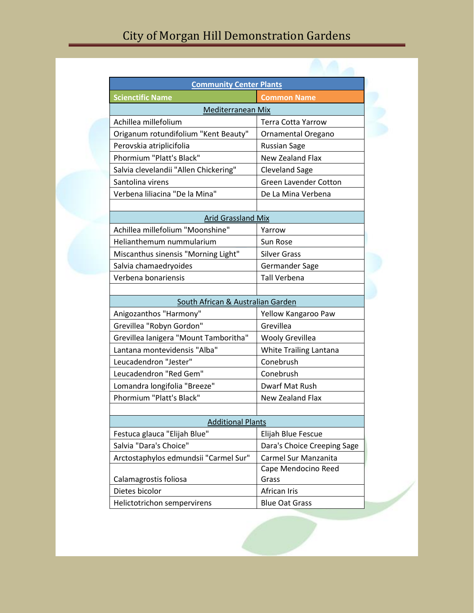| <b>Community Center Plants</b>        |                              |
|---------------------------------------|------------------------------|
| <b>Scienctific Name</b>               | <b>Common Name</b>           |
| Mediterranean Mix                     |                              |
| Achillea millefolium                  | <b>Terra Cotta Yarrow</b>    |
| Origanum rotundifolium "Kent Beauty"  | Ornamental Oregano           |
| Perovskia atriplicifolia              | <b>Russian Sage</b>          |
| Phormium "Platt's Black"              | New Zealand Flax             |
| Salvia clevelandii "Allen Chickering" | <b>Cleveland Sage</b>        |
| Santolina virens                      | <b>Green Lavender Cotton</b> |
| Verbena liliacina "De la Mina"        | De La Mina Verbena           |
| <b>Arid Grassland Mix</b>             |                              |
| Achillea millefolium "Moonshine"      | Yarrow                       |
| Helianthemum nummularium              | Sun Rose                     |
| Miscanthus sinensis "Morning Light"   | <b>Silver Grass</b>          |
| Salvia chamaedryoides                 | Germander Sage               |
| Verbena bonariensis                   | <b>Tall Verbena</b>          |
|                                       |                              |
| South African & Australian Garden     |                              |
| Anigozanthos "Harmony"                | Yellow Kangaroo Paw          |
| Grevillea "Robyn Gordon"              | Grevillea                    |
| Grevillea lanigera "Mount Tamboritha" | <b>Wooly Grevillea</b>       |
| Lantana montevidensis "Alba"          | White Trailing Lantana       |
| Leucadendron "Jester"                 | Conebrush                    |
| Leucadendron "Red Gem"                | Conebrush                    |
| Lomandra longifolia "Breeze"          | Dwarf Mat Rush               |
| Phormium "Platt's Black"              | New Zealand Flax             |
|                                       |                              |
| <b>Additional Plants</b>              |                              |
| Festuca glauca "Elijah Blue"          | Elijah Blue Fescue           |
| Salvia "Dara's Choice"                | Dara's Choice Creeping Sage  |
| Arctostaphylos edmundsii "Carmel Sur" | Carmel Sur Manzanita         |
| Calamagrostis foliosa                 | Cape Mendocino Reed<br>Grass |
| Dietes bicolor                        | African Iris                 |
| Helictotrichon sempervirens           | <b>Blue Oat Grass</b>        |